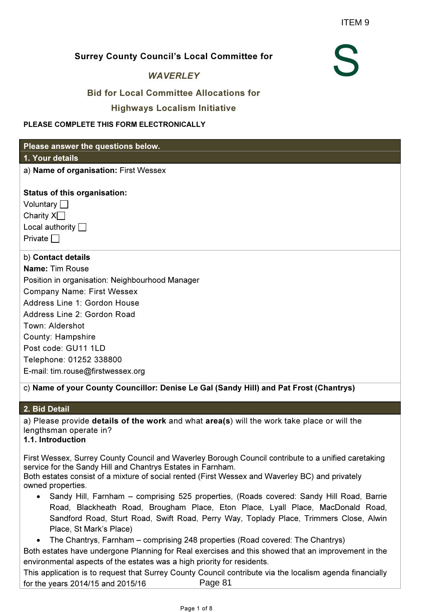#### Surrey County Council's Local Committee for

#### **WAVERLEY**

## Bid for Local Committee Allocations for

#### Highways Localism Initiative

#### PLEASE COMPLETE THIS FORM ELECTRONICALLY

#### Please answer the questions below.

#### 1. Your details

a) Name of organisation: First Wessex

#### Status of this organisation:

| Voluntary O            |
|------------------------|
| Charity $X\Box$        |
| Local authority $\Box$ |
| Private $\Box$         |

#### b) Contact details

Name: Tim Rouse Position in organisation: Neighbourhood Manager Company Name: First Wessex Address Line 1: Gordon House Address Line 2: Gordon Road Town: Aldershot County: Hampshire Post code: GU11 1LD Telephone: 01252 338800 E-mail: tim.rouse@firstwessex.org

## c) Name of your County Councillor: Denise Le Gal (Sandy Hill) and Pat Frost (Chantrys)

#### 2. Bid Detail

a) Please provide details of the work and what area(s) will the work take place or will the lengthsman operate in?

# 1.1. Introduction

First Wessex, Surrey County Council and Waverley Borough Council contribute to a unified caretaking service for the Sandy Hill and Chantrys Estates in Farnham. Both estates consist of a mixture of social rented (First Wessex and Waverley BC) and privately

owned properties.

• Sandy Hill, Farnham – comprising 525 properties, (Roads covered: Sandy Hill Road, Barrie Road, Blackheath Road, Brougham Place, Eton Place, Lyall Place, MacDonald Road, Sandford Road, Sturt Road, Swift Road, Perry Way, Toplady Place, Trimmers Close, Alwin Place, St Mark's Place)

• The Chantrys, Farnham – comprising 248 properties (Road covered: The Chantrys)

Both estates have undergone Planning for Real exercises and this showed that an improvement in the environmental aspects of the estates was a high priority for residents.

This application is to request that Surrey County Council contribute via the localism agenda financially for the years 2014/15 and 2015/16 Page 81



ITEM 9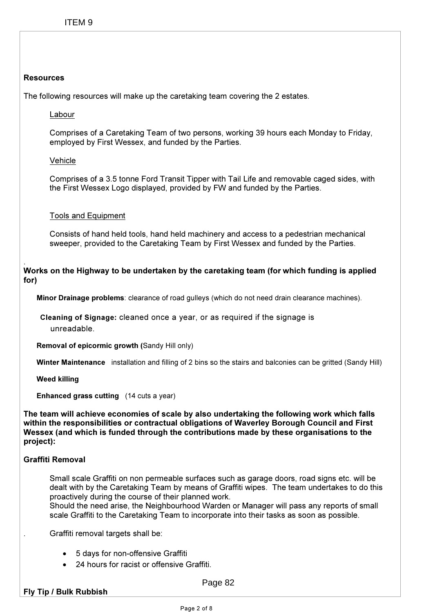# Resources

The following resources will make up the caretaking team covering the 2 estates.

Labour

Comprises of a Caretaking Team of two persons, working 39 hours each Monday to Friday, employed by First Wessex, and funded by the Parties.

## **Vehicle**

Comprises of a 3.5 tonne Ford Transit Tipper with Tail Life and removable caged sides, with the First Wessex Logo displayed, provided by FW and funded by the Parties.

# Tools and Equipment

Consists of hand held tools, hand held machinery and access to a pedestrian mechanical sweeper, provided to the Caretaking Team by First Wessex and funded by the Parties.

#### . Works on the Highway to be undertaken by the caretaking team (for which funding is applied for)

Minor Drainage problems: clearance of road gulleys (which do not need drain clearance machines).

Cleaning of Signage: cleaned once a year, or as required if the signage is unreadable.

Removal of epicormic growth (Sandy Hill only)

Winter Maintenance installation and filling of 2 bins so the stairs and balconies can be gritted (Sandy Hill)

Weed killing

Enhanced grass cutting (14 cuts a year)

The team will achieve economies of scale by also undertaking the following work which falls within the responsibilities or contractual obligations of Waverley Borough Council and First Wessex (and which is funded through the contributions made by these organisations to the project):

## Graffiti Removal

 Small scale Graffiti on non permeable surfaces such as garage doors, road signs etc. will be dealt with by the Caretaking Team by means of Graffiti wipes. The team undertakes to do this proactively during the course of their planned work.

Should the need arise, the Neighbourhood Warden or Manager will pass any reports of small scale Graffiti to the Caretaking Team to incorporate into their tasks as soon as possible.

. Graffiti removal targets shall be:

- 5 days for non-offensive Graffiti
- 24 hours for racist or offensive Graffiti.

Page 82

## Fly Tip / Bulk Rubbish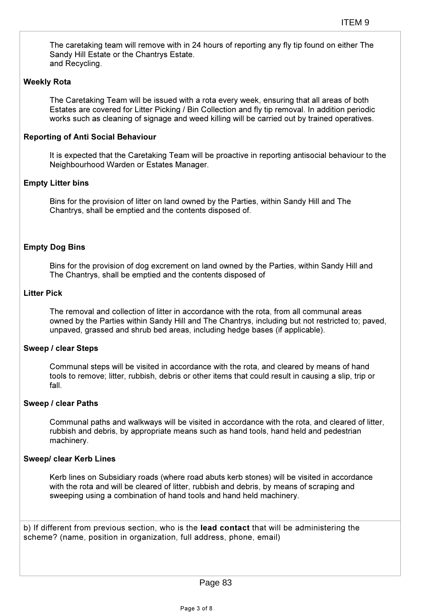The caretaking team will remove with in 24 hours of reporting any fly tip found on either The Sandy Hill Estate or the Chantrys Estate. and Recycling.

# Weekly Rota

The Caretaking Team will be issued with a rota every week, ensuring that all areas of both Estates are covered for Litter Picking / Bin Collection and fly tip removal. In addition periodic works such as cleaning of signage and weed killing will be carried out by trained operatives.

# Reporting of Anti Social Behaviour

It is expected that the Caretaking Team will be proactive in reporting antisocial behaviour to the Neighbourhood Warden or Estates Manager.

## Empty Litter bins

Bins for the provision of litter on land owned by the Parties, within Sandy Hill and The Chantrys, shall be emptied and the contents disposed of.

# Empty Dog Bins

Bins for the provision of dog excrement on land owned by the Parties, within Sandy Hill and The Chantrys, shall be emptied and the contents disposed of

## Litter Pick

The removal and collection of litter in accordance with the rota, from all communal areas owned by the Parties within Sandy Hill and The Chantrys, including but not restricted to; paved, unpaved, grassed and shrub bed areas, including hedge bases (if applicable).

## Sweep / clear Steps

Communal steps will be visited in accordance with the rota, and cleared by means of hand tools to remove; litter, rubbish, debris or other items that could result in causing a slip, trip or fall.

## Sweep / clear Paths

Communal paths and walkways will be visited in accordance with the rota, and cleared of litter, rubbish and debris, by appropriate means such as hand tools, hand held and pedestrian machinery.

## Sweep/ clear Kerb Lines

Kerb lines on Subsidiary roads (where road abuts kerb stones) will be visited in accordance with the rota and will be cleared of litter, rubbish and debris, by means of scraping and sweeping using a combination of hand tools and hand held machinery.

b) If different from previous section, who is the lead contact that will be administering the scheme? (name, position in organization, full address, phone, email)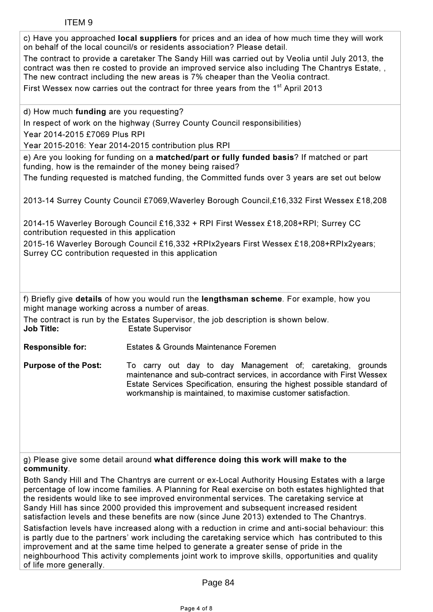| c) Have you approached local suppliers for prices and an idea of how much time they will work<br>on behalf of the local council/s or residents association? Please detail.<br>The contract to provide a caretaker The Sandy Hill was carried out by Veolia until July 2013, the<br>contract was then re costed to provide an improved service also including The Chantrys Estate, ,<br>The new contract including the new areas is 7% cheaper than the Veolia contract. |                                                                                                                                                                                                                                                                                                                                                                                            |  |  |  |  |  |  |  |
|-------------------------------------------------------------------------------------------------------------------------------------------------------------------------------------------------------------------------------------------------------------------------------------------------------------------------------------------------------------------------------------------------------------------------------------------------------------------------|--------------------------------------------------------------------------------------------------------------------------------------------------------------------------------------------------------------------------------------------------------------------------------------------------------------------------------------------------------------------------------------------|--|--|--|--|--|--|--|
| First Wessex now carries out the contract for three years from the 1 <sup>st</sup> April 2013                                                                                                                                                                                                                                                                                                                                                                           |                                                                                                                                                                                                                                                                                                                                                                                            |  |  |  |  |  |  |  |
| d) How much funding are you requesting?                                                                                                                                                                                                                                                                                                                                                                                                                                 |                                                                                                                                                                                                                                                                                                                                                                                            |  |  |  |  |  |  |  |
| In respect of work on the highway (Surrey County Council responsibilities)<br>Year 2014-2015 £7069 Plus RPI                                                                                                                                                                                                                                                                                                                                                             |                                                                                                                                                                                                                                                                                                                                                                                            |  |  |  |  |  |  |  |
|                                                                                                                                                                                                                                                                                                                                                                                                                                                                         | Year 2015-2016: Year 2014-2015 contribution plus RPI                                                                                                                                                                                                                                                                                                                                       |  |  |  |  |  |  |  |
|                                                                                                                                                                                                                                                                                                                                                                                                                                                                         | e) Are you looking for funding on a matched/part or fully funded basis? If matched or part<br>funding, how is the remainder of the money being raised?                                                                                                                                                                                                                                     |  |  |  |  |  |  |  |
|                                                                                                                                                                                                                                                                                                                                                                                                                                                                         | The funding requested is matched funding, the Committed funds over 3 years are set out below                                                                                                                                                                                                                                                                                               |  |  |  |  |  |  |  |
|                                                                                                                                                                                                                                                                                                                                                                                                                                                                         | 2013-14 Surrey County Council £7069, Waverley Borough Council, £16, 332 First Wessex £18, 208                                                                                                                                                                                                                                                                                              |  |  |  |  |  |  |  |
| contribution requested in this application                                                                                                                                                                                                                                                                                                                                                                                                                              | 2014-15 Waverley Borough Council £16,332 + RPI First Wessex £18,208+RPI; Surrey CC                                                                                                                                                                                                                                                                                                         |  |  |  |  |  |  |  |
| Surrey CC contribution requested in this application                                                                                                                                                                                                                                                                                                                                                                                                                    | 2015-16 Waverley Borough Council £16,332 +RPIx2years First Wessex £18,208+RPIx2years;                                                                                                                                                                                                                                                                                                      |  |  |  |  |  |  |  |
|                                                                                                                                                                                                                                                                                                                                                                                                                                                                         |                                                                                                                                                                                                                                                                                                                                                                                            |  |  |  |  |  |  |  |
|                                                                                                                                                                                                                                                                                                                                                                                                                                                                         |                                                                                                                                                                                                                                                                                                                                                                                            |  |  |  |  |  |  |  |
| might manage working across a number of areas.                                                                                                                                                                                                                                                                                                                                                                                                                          | f) Briefly give details of how you would run the lengthsman scheme. For example, how you                                                                                                                                                                                                                                                                                                   |  |  |  |  |  |  |  |
| <b>Job Title:</b>                                                                                                                                                                                                                                                                                                                                                                                                                                                       | The contract is run by the Estates Supervisor, the job description is shown below.<br><b>Estate Supervisor</b>                                                                                                                                                                                                                                                                             |  |  |  |  |  |  |  |
| <b>Responsible for:</b>                                                                                                                                                                                                                                                                                                                                                                                                                                                 | <b>Estates &amp; Grounds Maintenance Foremen</b>                                                                                                                                                                                                                                                                                                                                           |  |  |  |  |  |  |  |
| <b>Purpose of the Post:</b>                                                                                                                                                                                                                                                                                                                                                                                                                                             | To carry out day to day Management of; caretaking, grounds<br>maintenance and sub-contract services, in accordance with First Wessex<br>Estate Services Specification, ensuring the highest possible standard of<br>workmanship is maintained, to maximise customer satisfaction.                                                                                                          |  |  |  |  |  |  |  |
|                                                                                                                                                                                                                                                                                                                                                                                                                                                                         |                                                                                                                                                                                                                                                                                                                                                                                            |  |  |  |  |  |  |  |
|                                                                                                                                                                                                                                                                                                                                                                                                                                                                         |                                                                                                                                                                                                                                                                                                                                                                                            |  |  |  |  |  |  |  |
| community.                                                                                                                                                                                                                                                                                                                                                                                                                                                              | g) Please give some detail around what difference doing this work will make to the                                                                                                                                                                                                                                                                                                         |  |  |  |  |  |  |  |
|                                                                                                                                                                                                                                                                                                                                                                                                                                                                         | Both Sandy Hill and The Chantrys are current or ex-Local Authority Housing Estates with a large<br>percentage of low income families. A Planning for Real exercise on both estates highlighted that<br>the residents would like to see improved environmental services. The caretaking service at<br>Sandy Hill has since 2000 provided this improvement and subsequent increased resident |  |  |  |  |  |  |  |

satisfaction levels and these benefits are now (since June 2013) extended to The Chantrys.

Satisfaction levels have increased along with a reduction in crime and anti-social behaviour: this is partly due to the partners' work including the caretaking service which has contributed to this improvement and at the same time helped to generate a greater sense of pride in the neighbourhood This activity complements joint work to improve skills, opportunities and quality of life more generally.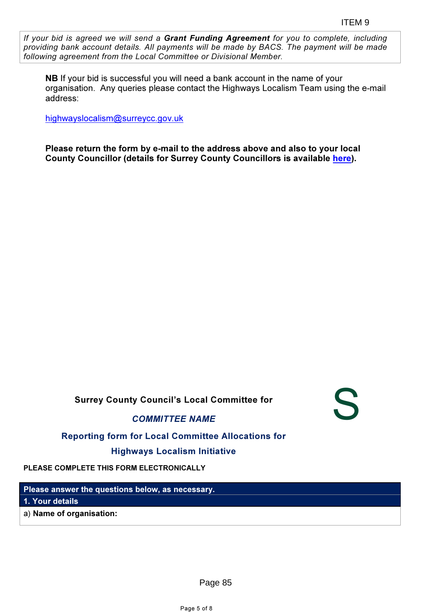S

If your bid is agreed we will send a Grant Funding Agreement for you to complete, including providing bank account details. All payments will be made by BACS. The payment will be made following agreement from the Local Committee or Divisional Member.

NB If your bid is successful you will need a bank account in the name of your organisation. Any queries please contact the Highways Localism Team using the e-mail address:

highwayslocalism@surreycc.gov.uk

Please return the form by e-mail to the address above and also to your local County Councillor (details for Surrey County Councillors is available here).

Surrey County Council's Local Committee for

COMMITTEE NAME

Reporting form for Local Committee Allocations for

Highways Localism Initiative

PLEASE COMPLETE THIS FORM ELECTRONICALLY

Please answer the questions below, as necessary. 1. Your details

a) Name of organisation:

Page 85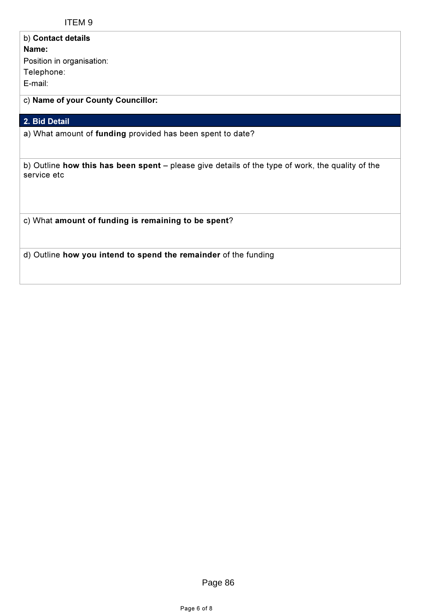Ī

| b) Contact details<br>Name:<br>Position in organisation:<br>Telephone:<br>E-mail:                               |
|-----------------------------------------------------------------------------------------------------------------|
| c) Name of your County Councillor:                                                                              |
| 2. Bid Detail                                                                                                   |
| a) What amount of funding provided has been spent to date?                                                      |
| b) Outline how this has been spent – please give details of the type of work, the quality of the<br>service etc |
| c) What amount of funding is remaining to be spent?                                                             |
| d) Outline how you intend to spend the remainder of the funding                                                 |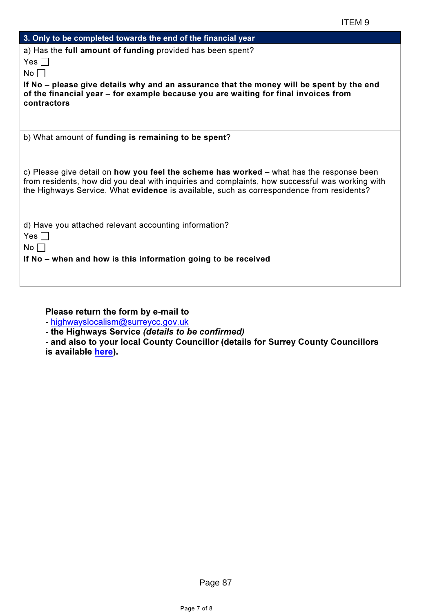| 3. Only to be completed towards the end of the financial year                                                                                                                                                                                                                                  |
|------------------------------------------------------------------------------------------------------------------------------------------------------------------------------------------------------------------------------------------------------------------------------------------------|
| a) Has the full amount of funding provided has been spent?                                                                                                                                                                                                                                     |
| Yes $\Box$                                                                                                                                                                                                                                                                                     |
| No                                                                                                                                                                                                                                                                                             |
| If No – please give details why and an assurance that the money will be spent by the end<br>of the financial year – for example because you are waiting for final invoices from<br>contractors                                                                                                 |
| b) What amount of funding is remaining to be spent?                                                                                                                                                                                                                                            |
| c) Please give detail on <b>how you feel the scheme has worked</b> – what has the response been<br>from residents, how did you deal with inquiries and complaints, how successful was working with<br>the Highways Service. What evidence is available, such as correspondence from residents? |
| d) Have you attached relevant accounting information?<br>Yes    <br>No l                                                                                                                                                                                                                       |
| If No – when and how is this information going to be received                                                                                                                                                                                                                                  |

Please return the form by e-mail to

- highwayslocalism@surreycc.gov.uk

- the Highways Service (details to be confirmed)

- and also to your local County Councillor (details for Surrey County Councillors is available here).